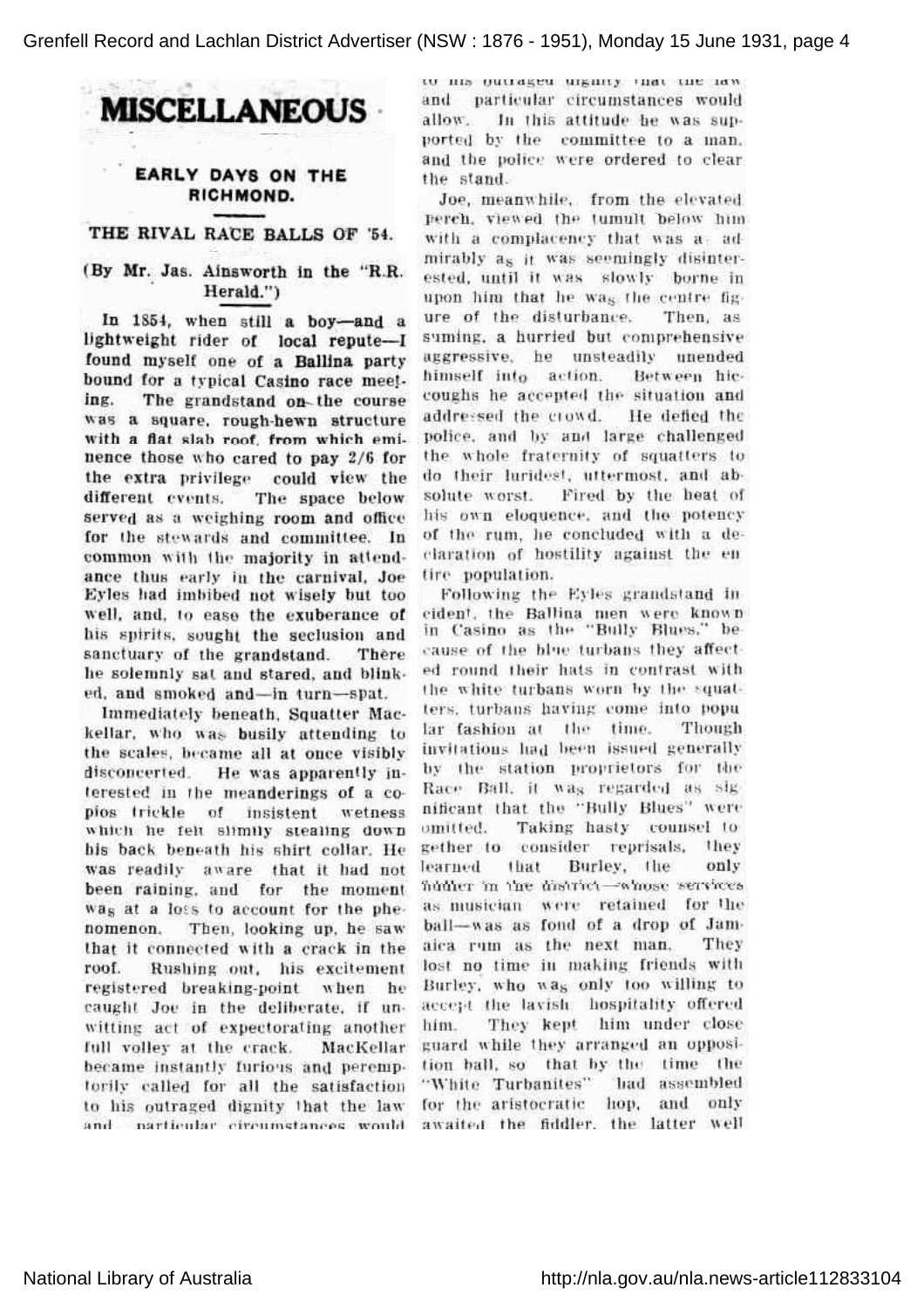MISCELLANEOUS

## EARLY DAYS ON THE RICHMOND.

## THE RIVAL RACE BALLS OF '54.

## (By Mr. Jas. Ainsworth in the 'R.R. Herald.')

In 1854, when still a boy-and a lightweight rider of local repute-I found myself one of <sup>a</sup> Ballina party bound for <sup>a</sup> typical Casino race meet ing. The grandstand on- the course was <sup>a</sup> square, rough-hewn structure with a flat slab roof, from which eminence those who cared to pay 2/6 for the extra privilege could view the different events. The space below served as a weighing room and office for the stewards and committee. In common with the majority in attend ance thus early in the carnival, Joe Eyles had imbibed not wisely but too well, and, to ease the exuberance of his spirits, sought the seclusion and sanctuary of the grandstand. There he solemnly sat and stared, and blink ed, and smoked and-in turn-spat.

Immediately beneath, Squatter Mac kellar, who was busily attending to the scales, became all at once visibly disconcerted. He was apparently interested in the meanderings of <sup>a</sup> co pios trickle of insistent wetness which he felt slimily stealing down his back beneath his shirt collar. He was readily aware that it had not been raining, and for the moment was at <sup>a</sup> loss to account for the phe nomenon. Then, looking up, he saw that it connected with <sup>a</sup> crack in the roof. Rushing out, his excitement registered breaking-point when he caught Joe in the deliberate, if un witting act of expectorating another full volley at the crack. MacKellar became instantly furious and peremptorily called for all the satisfaction to his outraged dignity that the law and particular circumstances would

то на опитакей игкину чил тие там. and particular circumstances would allow. In this attitude be was supported by the committee to <sup>a</sup> man, and the police were ordered to clear the stand.

Joe, meanwhile, from the elevated perch, viewed tne tumult Deiow him with a complacency that was a-admirably as it was seemingly disinter ested, until it was slowly borne in upon him that he was the centre fig ure of the disturbance. Then, as suming, <sup>a</sup> hurried but comprehensive aggressive, he unsteadily unended himself into action. Between hic coughs he accepted the situation and addressed the crowd. He defied the police, and by and large challenged the whole fraternity of squatters to do their luridest, uttermost, and absolute worst. Fired by the heat of his own eloquence, and the potency of the rum, he concluded with <sup>a</sup> de claration of hostility against the en tire population.

Following the Eyles grandstand in cident, the Ballina men were known in Casino as the 'Bully Blues,' be cause of the blue turbans they affect ed round their hats in contrast with the white turbans worn by the squat ters, turbans having come into popu lar fashion at the time. Though invitations had been issued generally by the station proprietors for the Race Ball, it was regarded as sig nificant that the "Bully Blues" were omitted. Taking hasty counsel to gether to consider reprisals, they learned that Burley, the only iuuut: in line aislinei — wanse ser as musician were retained for the ball-was as fond of a drop of Jamaica rum as the next man. They lost no time in making friends with Burley, who was only too willing to accept the lavish hospitality offered him. They kept him under close guard while they arranged an opposi tion ball, so that by the time the 'White Turbanites' had assembled for the aristocratic hop, and only awaited the fiddler, the latter well